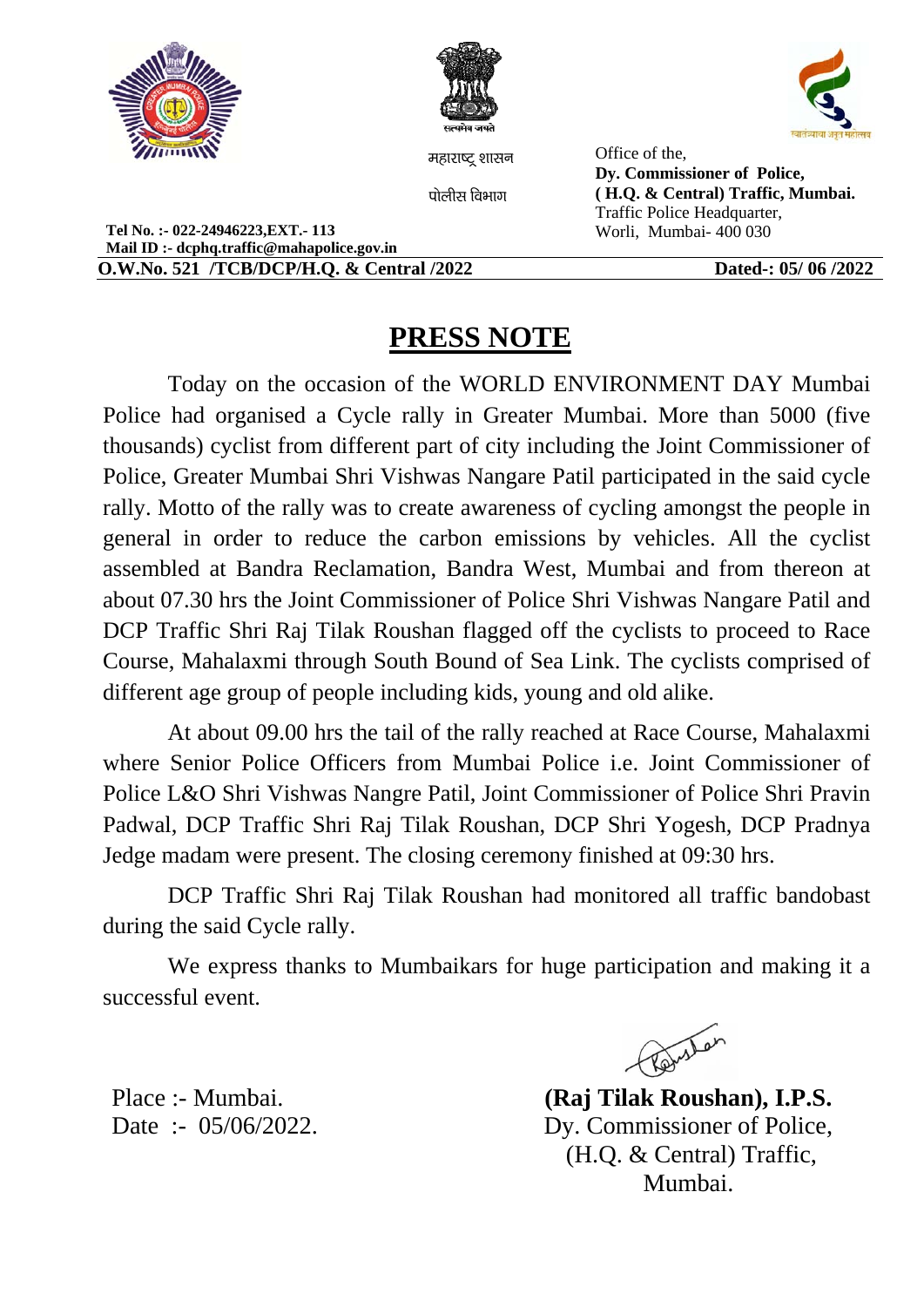



महाराष्ट शासन

पोलीस विभाग

Office of the, Dy. Commissioner of Police, (H.Q. & Central) Traffic, Mumbai. Traffic Police Headquarter, Worli, Mumbai-400 030

Tel No.:- 022-24946223.EXT.-113 Mail ID :- dcphq.traffic@mahapolice.gov.in **O.W.No. 521 /TCB/DCP/H.O. & Central /2022** 

Dated-: 05/06/2022

## **PRESS NOTE**

Today on the occasion of the WORLD ENVIRONMENT DAY Mumbai Police had organised a Cycle rally in Greater Mumbai. More than 5000 (five thousands) cyclist from different part of city including the Joint Commissioner of Police, Greater Mumbai Shri Vishwas Nangare Patil participated in the said cycle rally. Motto of the rally was to create awareness of cycling amongst the people in general in order to reduce the carbon emissions by vehicles. All the cyclist assembled at Bandra Reclamation, Bandra West, Mumbai and from thereon at about 07.30 hrs the Joint Commissioner of Police Shri Vishwas Nangare Patil and DCP Traffic Shri Raj Tilak Roushan flagged off the cyclists to proceed to Race Course, Mahalaxmi through South Bound of Sea Link. The cyclists comprised of different age group of people including kids, young and old alike.

At about 09.00 hrs the tail of the rally reached at Race Course, Mahalaxmi where Senior Police Officers from Mumbai Police *i.e.* Joint Commissioner of Police L&O Shri Vishwas Nangre Patil, Joint Commissioner of Police Shri Pravin Padwal, DCP Traffic Shri Raj Tilak Roushan, DCP Shri Yogesh, DCP Pradnya Jedge madam were present. The closing ceremony finished at 09:30 hrs.

DCP Traffic Shri Raj Tilak Roushan had monitored all traffic bandobast during the said Cycle rally.

We express thanks to Mumbaikars for huge participation and making it a successful event

Revistor

(Raj Tilak Roushan), I.P.S. Dy. Commissioner of Police, (H.Q. & Central) Traffic, Mumbai.

Place :- Mumbai. Date :-  $05/06/2022$ .